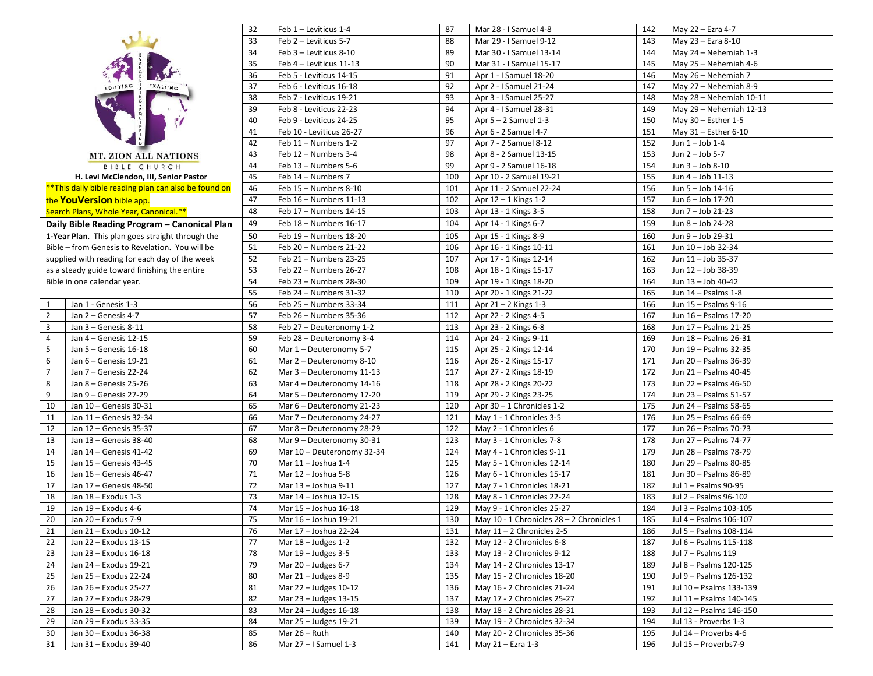| 33<br>Feb 2 - Leviticus 5-7<br>88<br>Mar 29 - I Samuel 9-12<br>May 23 - Ezra 8-10<br>143<br>34<br>Feb 3 - Leviticus 8-10<br>89<br>Mar 30 - I Samuel 13-14<br>May 24 - Nehemiah 1-3<br>144<br>90<br>35<br>Feb 4 - Leviticus 11-13<br>Mar 31 - I Samuel 15-17<br>May 25 - Nehemiah 4-6<br>145<br>91<br>36<br>Feb 5 - Leviticus 14-15<br>May 26 - Nehemiah 7<br>Apr 1 - I Samuel 18-20<br>146<br>37<br>92<br>Feb 6 - Leviticus 16-18<br>Apr 2 - I Samuel 21-24<br>147<br>May 27 - Nehemiah 8-9<br>EDIFYING<br><b>EXALTING</b><br>93<br>38<br>Feb 7 - Leviticus 19-21<br>Apr 3 - I Samuel 25-27<br>148<br>May 28 - Nehemiah 10-11<br>39<br>94<br>Feb 8 - Leviticus 22-23<br>Apr 4 - I Samuel 28-31<br>May 29 - Nehemiah 12-13<br>149<br>95<br>40<br>Feb 9 - Leviticus 24-25<br>Apr $5 - 2$ Samuel 1-3<br>May 30 - Esther 1-5<br>150<br>96<br>41<br>Feb 10 - Leviticus 26-27<br>Apr 6 - 2 Samuel 4-7<br>151<br>May $31$ – Esther 6-10<br>97<br>42<br>Feb 11 - Numbers 1-2<br>Apr 7 - 2 Samuel 8-12<br>152<br>Jun $1 -$ Job 1-4<br>98<br>43<br>Feb 12 - Numbers 3-4<br>Apr 8 - 2 Samuel 13-15<br>Jun 2 - Job 5-7<br>153<br><b>MT. ZION ALL NATIONS</b><br>44<br>99<br><b>BIBLE CHURCH</b><br>Feb 13 - Numbers 5-6<br>Apr 9 - 2 Samuel 16-18<br>154<br>Jun 3 - Job 8-10<br>H. Levi McClendon, III, Senior Pastor<br>45<br>Feb 14 - Numbers 7<br>100<br>Apr 10 - 2 Samuel 19-21<br>Jun 4 - Job 11-13<br>155<br>**This daily bible reading plan can also be found on<br>46<br>Feb 15 - Numbers 8-10<br>101<br>Apr 11 - 2 Samuel 22-24<br>Jun 5 - Job 14-16<br>156<br>the YouVersion bible app.<br>47<br>Feb 16 - Numbers 11-13<br>102<br>157<br>Jun 6 - Job 17-20<br>Apr 12 – 1 Kings 1-2<br>48<br>103<br>Jun 7 - Job 21-23<br>Feb 17 - Numbers 14-15<br>Apr 13 - 1 Kings 3-5<br>158<br>Search Plans, Whole Year, Canonical.**<br>49<br>104<br>Jun 8 - Job 24-28<br>Feb 18 - Numbers 16-17<br>Apr 14 - 1 Kings 6-7<br>159<br>Daily Bible Reading Program - Canonical Plan<br>1-Year Plan. This plan goes straight through the<br>50<br>Feb 19 - Numbers 18-20<br>105<br>Jun 9 - Job 29-31<br>Apr 15 - 1 Kings 8-9<br>160<br>Bible - from Genesis to Revelation. You will be<br>51<br>106<br>Jun 10 - Job 32-34<br>Feb 20 - Numbers 21-22<br>Apr 16 - 1 Kings 10-11<br>161<br>52<br>supplied with reading for each day of the week<br>107<br>Feb 21 - Numbers 23-25<br>Apr 17 - 1 Kings 12-14<br>162<br>Jun 11 - Job 35-37<br>53<br>Feb 22 - Numbers 26-27<br>108<br>Apr 18 - 1 Kings 15-17<br>Jun 12 - Job 38-39<br>as a steady guide toward finishing the entire<br>163<br>54<br>109<br>Bible in one calendar year.<br>Feb 23 - Numbers 28-30<br>Jun 13 - Job 40-42<br>Apr 19 - 1 Kings 18-20<br>164<br>55<br>Feb 24 - Numbers 31-32<br>110<br>Apr 20 - 1 Kings 21-22<br>Jun 14 - Psalms 1-8<br>165<br>56<br>Jan 1 - Genesis 1-3<br>Feb 25 - Numbers 33-34<br>111<br>Jun 15 - Psalms 9-16<br>$\mathbf{1}$<br>Apr 21 – 2 Kings 1-3<br>166<br>Jan 2 - Genesis 4-7<br>57<br>Feb 26 - Numbers 35-36<br>112<br>2<br>Apr 22 - 2 Kings 4-5<br>167<br>Jun 16 - Psalms 17-20<br>58<br>113<br>Jun 17 - Psalms 21-25<br>3<br>Jan 3 - Genesis 8-11<br>Feb 27 - Deuteronomy 1-2<br>Apr 23 - 2 Kings 6-8<br>168<br>Jan 4 - Genesis 12-15<br>59<br>Feb 28 - Deuteronomy 3-4<br>114<br>Jun 18 - Psalms 26-31<br>4<br>Apr 24 - 2 Kings 9-11<br>169<br>5<br>60<br>Mar 1 - Deuteronomy 5-7<br>115<br>Jun 19 - Psalms 32-35<br>Jan 5 - Genesis 16-18<br>Apr 25 - 2 Kings 12-14<br>170<br>116<br>6<br>Jan 6 - Genesis 19-21<br>61<br>Mar 2 - Deuteronomy 8-10<br>171<br>Jun 20 - Psalms 36-39<br>Apr 26 - 2 Kings 15-17<br>$\overline{7}$<br>Jan 7 - Genesis 22-24<br>62<br>Mar 3 - Deuteronomy 11-13<br>117<br>Apr 27 - 2 Kings 18-19<br>172<br>Jun 21 - Psalms 40-45<br>8<br>Jan 8 - Genesis 25-26<br>63<br>Mar 4 - Deuteronomy 14-16<br>118<br>Jun 22 - Psalms 46-50<br>Apr 28 - 2 Kings 20-22<br>173<br>64<br>9<br>119<br>Jun 23 - Psalms 51-57<br>Jan 9 – Genesis 27-29<br>Mar 5 - Deuteronomy 17-20<br>Apr 29 - 2 Kings 23-25<br>174<br>120<br>10<br>Jan 10 - Genesis 30-31<br>65<br>Mar 6 - Deuteronomy 21-23<br>Apr $30 - 1$ Chronicles 1-2<br>Jun 24 - Psalms 58-65<br>175<br>11<br>121<br>Jan 11 - Genesis 32-34<br>66<br>Mar 7 - Deuteronomy 24-27<br>May 1 - 1 Chronicles 3-5<br>176<br>Jun 25 - Psalms 66-69<br>122<br>12<br>Jan 12 - Genesis 35-37<br>67<br>Mar 8 - Deuteronomy 28-29<br>Jun 26 - Psalms 70-73<br>May 2 - 1 Chronicles 6<br>177<br>123<br>13<br>Jan 13 - Genesis 38-40<br>68<br>Mar 9 - Deuteronomy 30-31<br>May 3 - 1 Chronicles 7-8<br>Jun 27 - Psalms 74-77<br>178<br>14<br>124<br>Jan 14 - Genesis 41-42<br>69<br>Mar 10 - Deuteronomy 32-34<br>May 4 - 1 Chronicles 9-11<br>179<br>Jun 28 - Psalms 78-79<br>15<br>Jan 15 - Genesis 43-45<br>70<br>Mar 11 - Joshua 1-4<br>125<br>May 5 - 1 Chronicles 12-14<br>Jun 29 - Psalms 80-85<br>180<br>16<br>71<br>126<br>Jan 16 - Genesis 46-47<br>Mar 12 - Joshua 5-8<br>May 6 - 1 Chronicles 15-17<br>181<br>Jun 30 - Psalms 86-89<br>17<br>127<br>Jan 17 - Genesis 48-50<br>72<br>Mar 13 - Joshua 9-11<br>May 7 - 1 Chronicles 18-21<br>182<br>Jul 1 - Psalms 90-95<br>18<br>128<br>Jul 2 - Psalms 96-102<br>Jan 18 - Exodus 1-3<br>73<br>Mar 14 - Joshua 12-15<br>May 8 - 1 Chronicles 22-24<br>183<br>129<br>19<br>74<br>184<br>Jul 3 - Psalms 103-105<br>Jan 19 - Exodus 4-6<br>Mar 15 - Joshua 16-18<br>May 9 - 1 Chronicles 25-27<br>75<br>185<br>$20\,$<br>Mar 16 - Joshua 19-21<br>130<br>Jul 4 - Psalms 106-107<br>Jan 20 - Exodus 7-9<br>May 10 - 1 Chronicles 28 - 2 Chronicles 1<br>Jan 21 - Exodus 10-12<br>76<br>Mar 17 – Joshua 22-24<br>131<br>May $11 - 2$ Chronicles 2-5<br>186<br>Jul 5 - Psalms 108-114<br>21<br>22<br>Jan 22 – Exodus 13-15<br>77<br>Mar $18 -$ Judges 1-2<br>132<br>May 12 - 2 Chronicles 6-8<br>187<br>Jul 6 - Psalms 115-118<br>23<br>78<br>133<br>May 13 - 2 Chronicles 9-12<br>Jan 23 - Exodus 16-18<br>Mar $19$ – Judges 3-5<br>188<br>Jul 7 - Psalms 119<br>24<br>79<br>134<br>May 14 - 2 Chronicles 13-17<br>Jul 8 - Psalms 120-125<br>Jan 24 - Exodus 19-21<br>Mar $20 -$ Judges 6-7<br>189<br>25<br>80<br>135<br>May 15 - 2 Chronicles 18-20<br>190<br>Jul 9 - Psalms 126-132<br>Jan 25 – Exodus 22-24<br>Mar $21 -$ Judges 8-9<br>26<br>Jan 26 - Exodus 25-27<br>81<br>Mar 22 - Judges 10-12<br>136<br>May 16 - 2 Chronicles 21-24<br>191<br>Jul 10 - Psalms 133-139<br>27<br>Jan 27 - Exodus 28-29<br>82<br>Mar 23 - Judges 13-15<br>137<br>May 17 - 2 Chronicles 25-27<br>Jul 11 - Psalms 140-145<br>192<br>83<br>28<br>Jan 28 – Exodus 30-32<br>Mar 24 – Judges 16-18<br>138<br>May 18 - 2 Chronicles 28-31<br>193<br>Jul 12 - Psalms 146-150<br>84<br>29<br>Jan 29 – Exodus 33-35<br>Mar 25 - Judges 19-21<br>139<br>May 19 - 2 Chronicles 32-34<br>194<br>Jul 13 - Proverbs 1-3<br>85<br>140<br>Jul 14 - Proverbs 4-6<br>30<br>Jan 30 - Exodus 36-38<br>Mar 26 – Ruth<br>May 20 - 2 Chronicles 35-36<br>195<br>31<br>Jan 31 - Exodus 39-40<br>86<br>Mar 27 - I Samuel 1-3<br>141<br>Jul 15 - Proverbs7-9<br>May 21 – Ezra 1-3<br>196 |  | 32 | Feb $1$ – Leviticus 1-4 | 87 | Mar 28 - I Samuel 4-8 | 142 | May 22 - Ezra 4-7 |
|-------------------------------------------------------------------------------------------------------------------------------------------------------------------------------------------------------------------------------------------------------------------------------------------------------------------------------------------------------------------------------------------------------------------------------------------------------------------------------------------------------------------------------------------------------------------------------------------------------------------------------------------------------------------------------------------------------------------------------------------------------------------------------------------------------------------------------------------------------------------------------------------------------------------------------------------------------------------------------------------------------------------------------------------------------------------------------------------------------------------------------------------------------------------------------------------------------------------------------------------------------------------------------------------------------------------------------------------------------------------------------------------------------------------------------------------------------------------------------------------------------------------------------------------------------------------------------------------------------------------------------------------------------------------------------------------------------------------------------------------------------------------------------------------------------------------------------------------------------------------------------------------------------------------------------------------------------------------------------------------------------------------------------------------------------------------------------------------------------------------------------------------------------------------------------------------------------------------------------------------------------------------------------------------------------------------------------------------------------------------------------------------------------------------------------------------------------------------------------------------------------------------------------------------------------------------------------------------------------------------------------------------------------------------------------------------------------------------------------------------------------------------------------------------------------------------------------------------------------------------------------------------------------------------------------------------------------------------------------------------------------------------------------------------------------------------------------------------------------------------------------------------------------------------------------------------------------------------------------------------------------------------------------------------------------------------------------------------------------------------------------------------------------------------------------------------------------------------------------------------------------------------------------------------------------------------------------------------------------------------------------------------------------------------------------------------------------------------------------------------------------------------------------------------------------------------------------------------------------------------------------------------------------------------------------------------------------------------------------------------------------------------------------------------------------------------------------------------------------------------------------------------------------------------------------------------------------------------------------------------------------------------------------------------------------------------------------------------------------------------------------------------------------------------------------------------------------------------------------------------------------------------------------------------------------------------------------------------------------------------------------------------------------------------------------------------------------------------------------------------------------------------------------------------------------------------------------------------------------------------------------------------------------------------------------------------------------------------------------------------------------------------------------------------------------------------------------------------------------------------------------------------------------------------------------------------------------------------------------------------------------------------------------------------------------------------------------------------------------------------------------------------------------------------------------------------------------------------------------------------------------------------------------------------------------------------------------------------------------------------------------------------------------------------------------------------------------------------------------------------------------------------------------------------------------------------------------------------------------------------------------------------------------------------------------------------------------------------------------------------------------------------------------------------------------------------------------------------------------------------------------------------------------------------------------------------------------------------------------------------------------------------------------------------------------------------------------------------------------------------------------------------------------------------------------------------------------------------------------------------------------------------------------------------------------------------------------------------------------------------------------------------------------------------------------------------------------------------------------------------------------------------------------------------------------------------------------------------------------------------------------------------------------------------------------------------------------------------------------------------------------------------------------------------|--|----|-------------------------|----|-----------------------|-----|-------------------|
|                                                                                                                                                                                                                                                                                                                                                                                                                                                                                                                                                                                                                                                                                                                                                                                                                                                                                                                                                                                                                                                                                                                                                                                                                                                                                                                                                                                                                                                                                                                                                                                                                                                                                                                                                                                                                                                                                                                                                                                                                                                                                                                                                                                                                                                                                                                                                                                                                                                                                                                                                                                                                                                                                                                                                                                                                                                                                                                                                                                                                                                                                                                                                                                                                                                                                                                                                                                                                                                                                                                                                                                                                                                                                                                                                                                                                                                                                                                                                                                                                                                                                                                                                                                                                                                                                                                                                                                                                                                                                                                                                                                                                                                                                                                                                                                                                                                                                                                                                                                                                                                                                                                                                                                                                                                                                                                                                                                                                                                                                                                                                                                                                                                                                                                                                                                                                                                                                                                                                                                                                                                                                                                                                                                                                                                                                                                                                                                                                                                                                                                                                                                                                                                                                                                                                                                                                                                                                                                                                                                                                                           |  |    |                         |    |                       |     |                   |
|                                                                                                                                                                                                                                                                                                                                                                                                                                                                                                                                                                                                                                                                                                                                                                                                                                                                                                                                                                                                                                                                                                                                                                                                                                                                                                                                                                                                                                                                                                                                                                                                                                                                                                                                                                                                                                                                                                                                                                                                                                                                                                                                                                                                                                                                                                                                                                                                                                                                                                                                                                                                                                                                                                                                                                                                                                                                                                                                                                                                                                                                                                                                                                                                                                                                                                                                                                                                                                                                                                                                                                                                                                                                                                                                                                                                                                                                                                                                                                                                                                                                                                                                                                                                                                                                                                                                                                                                                                                                                                                                                                                                                                                                                                                                                                                                                                                                                                                                                                                                                                                                                                                                                                                                                                                                                                                                                                                                                                                                                                                                                                                                                                                                                                                                                                                                                                                                                                                                                                                                                                                                                                                                                                                                                                                                                                                                                                                                                                                                                                                                                                                                                                                                                                                                                                                                                                                                                                                                                                                                                                           |  |    |                         |    |                       |     |                   |
|                                                                                                                                                                                                                                                                                                                                                                                                                                                                                                                                                                                                                                                                                                                                                                                                                                                                                                                                                                                                                                                                                                                                                                                                                                                                                                                                                                                                                                                                                                                                                                                                                                                                                                                                                                                                                                                                                                                                                                                                                                                                                                                                                                                                                                                                                                                                                                                                                                                                                                                                                                                                                                                                                                                                                                                                                                                                                                                                                                                                                                                                                                                                                                                                                                                                                                                                                                                                                                                                                                                                                                                                                                                                                                                                                                                                                                                                                                                                                                                                                                                                                                                                                                                                                                                                                                                                                                                                                                                                                                                                                                                                                                                                                                                                                                                                                                                                                                                                                                                                                                                                                                                                                                                                                                                                                                                                                                                                                                                                                                                                                                                                                                                                                                                                                                                                                                                                                                                                                                                                                                                                                                                                                                                                                                                                                                                                                                                                                                                                                                                                                                                                                                                                                                                                                                                                                                                                                                                                                                                                                                           |  |    |                         |    |                       |     |                   |
|                                                                                                                                                                                                                                                                                                                                                                                                                                                                                                                                                                                                                                                                                                                                                                                                                                                                                                                                                                                                                                                                                                                                                                                                                                                                                                                                                                                                                                                                                                                                                                                                                                                                                                                                                                                                                                                                                                                                                                                                                                                                                                                                                                                                                                                                                                                                                                                                                                                                                                                                                                                                                                                                                                                                                                                                                                                                                                                                                                                                                                                                                                                                                                                                                                                                                                                                                                                                                                                                                                                                                                                                                                                                                                                                                                                                                                                                                                                                                                                                                                                                                                                                                                                                                                                                                                                                                                                                                                                                                                                                                                                                                                                                                                                                                                                                                                                                                                                                                                                                                                                                                                                                                                                                                                                                                                                                                                                                                                                                                                                                                                                                                                                                                                                                                                                                                                                                                                                                                                                                                                                                                                                                                                                                                                                                                                                                                                                                                                                                                                                                                                                                                                                                                                                                                                                                                                                                                                                                                                                                                                           |  |    |                         |    |                       |     |                   |
|                                                                                                                                                                                                                                                                                                                                                                                                                                                                                                                                                                                                                                                                                                                                                                                                                                                                                                                                                                                                                                                                                                                                                                                                                                                                                                                                                                                                                                                                                                                                                                                                                                                                                                                                                                                                                                                                                                                                                                                                                                                                                                                                                                                                                                                                                                                                                                                                                                                                                                                                                                                                                                                                                                                                                                                                                                                                                                                                                                                                                                                                                                                                                                                                                                                                                                                                                                                                                                                                                                                                                                                                                                                                                                                                                                                                                                                                                                                                                                                                                                                                                                                                                                                                                                                                                                                                                                                                                                                                                                                                                                                                                                                                                                                                                                                                                                                                                                                                                                                                                                                                                                                                                                                                                                                                                                                                                                                                                                                                                                                                                                                                                                                                                                                                                                                                                                                                                                                                                                                                                                                                                                                                                                                                                                                                                                                                                                                                                                                                                                                                                                                                                                                                                                                                                                                                                                                                                                                                                                                                                                           |  |    |                         |    |                       |     |                   |
|                                                                                                                                                                                                                                                                                                                                                                                                                                                                                                                                                                                                                                                                                                                                                                                                                                                                                                                                                                                                                                                                                                                                                                                                                                                                                                                                                                                                                                                                                                                                                                                                                                                                                                                                                                                                                                                                                                                                                                                                                                                                                                                                                                                                                                                                                                                                                                                                                                                                                                                                                                                                                                                                                                                                                                                                                                                                                                                                                                                                                                                                                                                                                                                                                                                                                                                                                                                                                                                                                                                                                                                                                                                                                                                                                                                                                                                                                                                                                                                                                                                                                                                                                                                                                                                                                                                                                                                                                                                                                                                                                                                                                                                                                                                                                                                                                                                                                                                                                                                                                                                                                                                                                                                                                                                                                                                                                                                                                                                                                                                                                                                                                                                                                                                                                                                                                                                                                                                                                                                                                                                                                                                                                                                                                                                                                                                                                                                                                                                                                                                                                                                                                                                                                                                                                                                                                                                                                                                                                                                                                                           |  |    |                         |    |                       |     |                   |
|                                                                                                                                                                                                                                                                                                                                                                                                                                                                                                                                                                                                                                                                                                                                                                                                                                                                                                                                                                                                                                                                                                                                                                                                                                                                                                                                                                                                                                                                                                                                                                                                                                                                                                                                                                                                                                                                                                                                                                                                                                                                                                                                                                                                                                                                                                                                                                                                                                                                                                                                                                                                                                                                                                                                                                                                                                                                                                                                                                                                                                                                                                                                                                                                                                                                                                                                                                                                                                                                                                                                                                                                                                                                                                                                                                                                                                                                                                                                                                                                                                                                                                                                                                                                                                                                                                                                                                                                                                                                                                                                                                                                                                                                                                                                                                                                                                                                                                                                                                                                                                                                                                                                                                                                                                                                                                                                                                                                                                                                                                                                                                                                                                                                                                                                                                                                                                                                                                                                                                                                                                                                                                                                                                                                                                                                                                                                                                                                                                                                                                                                                                                                                                                                                                                                                                                                                                                                                                                                                                                                                                           |  |    |                         |    |                       |     |                   |
|                                                                                                                                                                                                                                                                                                                                                                                                                                                                                                                                                                                                                                                                                                                                                                                                                                                                                                                                                                                                                                                                                                                                                                                                                                                                                                                                                                                                                                                                                                                                                                                                                                                                                                                                                                                                                                                                                                                                                                                                                                                                                                                                                                                                                                                                                                                                                                                                                                                                                                                                                                                                                                                                                                                                                                                                                                                                                                                                                                                                                                                                                                                                                                                                                                                                                                                                                                                                                                                                                                                                                                                                                                                                                                                                                                                                                                                                                                                                                                                                                                                                                                                                                                                                                                                                                                                                                                                                                                                                                                                                                                                                                                                                                                                                                                                                                                                                                                                                                                                                                                                                                                                                                                                                                                                                                                                                                                                                                                                                                                                                                                                                                                                                                                                                                                                                                                                                                                                                                                                                                                                                                                                                                                                                                                                                                                                                                                                                                                                                                                                                                                                                                                                                                                                                                                                                                                                                                                                                                                                                                                           |  |    |                         |    |                       |     |                   |
|                                                                                                                                                                                                                                                                                                                                                                                                                                                                                                                                                                                                                                                                                                                                                                                                                                                                                                                                                                                                                                                                                                                                                                                                                                                                                                                                                                                                                                                                                                                                                                                                                                                                                                                                                                                                                                                                                                                                                                                                                                                                                                                                                                                                                                                                                                                                                                                                                                                                                                                                                                                                                                                                                                                                                                                                                                                                                                                                                                                                                                                                                                                                                                                                                                                                                                                                                                                                                                                                                                                                                                                                                                                                                                                                                                                                                                                                                                                                                                                                                                                                                                                                                                                                                                                                                                                                                                                                                                                                                                                                                                                                                                                                                                                                                                                                                                                                                                                                                                                                                                                                                                                                                                                                                                                                                                                                                                                                                                                                                                                                                                                                                                                                                                                                                                                                                                                                                                                                                                                                                                                                                                                                                                                                                                                                                                                                                                                                                                                                                                                                                                                                                                                                                                                                                                                                                                                                                                                                                                                                                                           |  |    |                         |    |                       |     |                   |
|                                                                                                                                                                                                                                                                                                                                                                                                                                                                                                                                                                                                                                                                                                                                                                                                                                                                                                                                                                                                                                                                                                                                                                                                                                                                                                                                                                                                                                                                                                                                                                                                                                                                                                                                                                                                                                                                                                                                                                                                                                                                                                                                                                                                                                                                                                                                                                                                                                                                                                                                                                                                                                                                                                                                                                                                                                                                                                                                                                                                                                                                                                                                                                                                                                                                                                                                                                                                                                                                                                                                                                                                                                                                                                                                                                                                                                                                                                                                                                                                                                                                                                                                                                                                                                                                                                                                                                                                                                                                                                                                                                                                                                                                                                                                                                                                                                                                                                                                                                                                                                                                                                                                                                                                                                                                                                                                                                                                                                                                                                                                                                                                                                                                                                                                                                                                                                                                                                                                                                                                                                                                                                                                                                                                                                                                                                                                                                                                                                                                                                                                                                                                                                                                                                                                                                                                                                                                                                                                                                                                                                           |  |    |                         |    |                       |     |                   |
|                                                                                                                                                                                                                                                                                                                                                                                                                                                                                                                                                                                                                                                                                                                                                                                                                                                                                                                                                                                                                                                                                                                                                                                                                                                                                                                                                                                                                                                                                                                                                                                                                                                                                                                                                                                                                                                                                                                                                                                                                                                                                                                                                                                                                                                                                                                                                                                                                                                                                                                                                                                                                                                                                                                                                                                                                                                                                                                                                                                                                                                                                                                                                                                                                                                                                                                                                                                                                                                                                                                                                                                                                                                                                                                                                                                                                                                                                                                                                                                                                                                                                                                                                                                                                                                                                                                                                                                                                                                                                                                                                                                                                                                                                                                                                                                                                                                                                                                                                                                                                                                                                                                                                                                                                                                                                                                                                                                                                                                                                                                                                                                                                                                                                                                                                                                                                                                                                                                                                                                                                                                                                                                                                                                                                                                                                                                                                                                                                                                                                                                                                                                                                                                                                                                                                                                                                                                                                                                                                                                                                                           |  |    |                         |    |                       |     |                   |
|                                                                                                                                                                                                                                                                                                                                                                                                                                                                                                                                                                                                                                                                                                                                                                                                                                                                                                                                                                                                                                                                                                                                                                                                                                                                                                                                                                                                                                                                                                                                                                                                                                                                                                                                                                                                                                                                                                                                                                                                                                                                                                                                                                                                                                                                                                                                                                                                                                                                                                                                                                                                                                                                                                                                                                                                                                                                                                                                                                                                                                                                                                                                                                                                                                                                                                                                                                                                                                                                                                                                                                                                                                                                                                                                                                                                                                                                                                                                                                                                                                                                                                                                                                                                                                                                                                                                                                                                                                                                                                                                                                                                                                                                                                                                                                                                                                                                                                                                                                                                                                                                                                                                                                                                                                                                                                                                                                                                                                                                                                                                                                                                                                                                                                                                                                                                                                                                                                                                                                                                                                                                                                                                                                                                                                                                                                                                                                                                                                                                                                                                                                                                                                                                                                                                                                                                                                                                                                                                                                                                                                           |  |    |                         |    |                       |     |                   |
|                                                                                                                                                                                                                                                                                                                                                                                                                                                                                                                                                                                                                                                                                                                                                                                                                                                                                                                                                                                                                                                                                                                                                                                                                                                                                                                                                                                                                                                                                                                                                                                                                                                                                                                                                                                                                                                                                                                                                                                                                                                                                                                                                                                                                                                                                                                                                                                                                                                                                                                                                                                                                                                                                                                                                                                                                                                                                                                                                                                                                                                                                                                                                                                                                                                                                                                                                                                                                                                                                                                                                                                                                                                                                                                                                                                                                                                                                                                                                                                                                                                                                                                                                                                                                                                                                                                                                                                                                                                                                                                                                                                                                                                                                                                                                                                                                                                                                                                                                                                                                                                                                                                                                                                                                                                                                                                                                                                                                                                                                                                                                                                                                                                                                                                                                                                                                                                                                                                                                                                                                                                                                                                                                                                                                                                                                                                                                                                                                                                                                                                                                                                                                                                                                                                                                                                                                                                                                                                                                                                                                                           |  |    |                         |    |                       |     |                   |
|                                                                                                                                                                                                                                                                                                                                                                                                                                                                                                                                                                                                                                                                                                                                                                                                                                                                                                                                                                                                                                                                                                                                                                                                                                                                                                                                                                                                                                                                                                                                                                                                                                                                                                                                                                                                                                                                                                                                                                                                                                                                                                                                                                                                                                                                                                                                                                                                                                                                                                                                                                                                                                                                                                                                                                                                                                                                                                                                                                                                                                                                                                                                                                                                                                                                                                                                                                                                                                                                                                                                                                                                                                                                                                                                                                                                                                                                                                                                                                                                                                                                                                                                                                                                                                                                                                                                                                                                                                                                                                                                                                                                                                                                                                                                                                                                                                                                                                                                                                                                                                                                                                                                                                                                                                                                                                                                                                                                                                                                                                                                                                                                                                                                                                                                                                                                                                                                                                                                                                                                                                                                                                                                                                                                                                                                                                                                                                                                                                                                                                                                                                                                                                                                                                                                                                                                                                                                                                                                                                                                                                           |  |    |                         |    |                       |     |                   |
|                                                                                                                                                                                                                                                                                                                                                                                                                                                                                                                                                                                                                                                                                                                                                                                                                                                                                                                                                                                                                                                                                                                                                                                                                                                                                                                                                                                                                                                                                                                                                                                                                                                                                                                                                                                                                                                                                                                                                                                                                                                                                                                                                                                                                                                                                                                                                                                                                                                                                                                                                                                                                                                                                                                                                                                                                                                                                                                                                                                                                                                                                                                                                                                                                                                                                                                                                                                                                                                                                                                                                                                                                                                                                                                                                                                                                                                                                                                                                                                                                                                                                                                                                                                                                                                                                                                                                                                                                                                                                                                                                                                                                                                                                                                                                                                                                                                                                                                                                                                                                                                                                                                                                                                                                                                                                                                                                                                                                                                                                                                                                                                                                                                                                                                                                                                                                                                                                                                                                                                                                                                                                                                                                                                                                                                                                                                                                                                                                                                                                                                                                                                                                                                                                                                                                                                                                                                                                                                                                                                                                                           |  |    |                         |    |                       |     |                   |
|                                                                                                                                                                                                                                                                                                                                                                                                                                                                                                                                                                                                                                                                                                                                                                                                                                                                                                                                                                                                                                                                                                                                                                                                                                                                                                                                                                                                                                                                                                                                                                                                                                                                                                                                                                                                                                                                                                                                                                                                                                                                                                                                                                                                                                                                                                                                                                                                                                                                                                                                                                                                                                                                                                                                                                                                                                                                                                                                                                                                                                                                                                                                                                                                                                                                                                                                                                                                                                                                                                                                                                                                                                                                                                                                                                                                                                                                                                                                                                                                                                                                                                                                                                                                                                                                                                                                                                                                                                                                                                                                                                                                                                                                                                                                                                                                                                                                                                                                                                                                                                                                                                                                                                                                                                                                                                                                                                                                                                                                                                                                                                                                                                                                                                                                                                                                                                                                                                                                                                                                                                                                                                                                                                                                                                                                                                                                                                                                                                                                                                                                                                                                                                                                                                                                                                                                                                                                                                                                                                                                                                           |  |    |                         |    |                       |     |                   |
|                                                                                                                                                                                                                                                                                                                                                                                                                                                                                                                                                                                                                                                                                                                                                                                                                                                                                                                                                                                                                                                                                                                                                                                                                                                                                                                                                                                                                                                                                                                                                                                                                                                                                                                                                                                                                                                                                                                                                                                                                                                                                                                                                                                                                                                                                                                                                                                                                                                                                                                                                                                                                                                                                                                                                                                                                                                                                                                                                                                                                                                                                                                                                                                                                                                                                                                                                                                                                                                                                                                                                                                                                                                                                                                                                                                                                                                                                                                                                                                                                                                                                                                                                                                                                                                                                                                                                                                                                                                                                                                                                                                                                                                                                                                                                                                                                                                                                                                                                                                                                                                                                                                                                                                                                                                                                                                                                                                                                                                                                                                                                                                                                                                                                                                                                                                                                                                                                                                                                                                                                                                                                                                                                                                                                                                                                                                                                                                                                                                                                                                                                                                                                                                                                                                                                                                                                                                                                                                                                                                                                                           |  |    |                         |    |                       |     |                   |
|                                                                                                                                                                                                                                                                                                                                                                                                                                                                                                                                                                                                                                                                                                                                                                                                                                                                                                                                                                                                                                                                                                                                                                                                                                                                                                                                                                                                                                                                                                                                                                                                                                                                                                                                                                                                                                                                                                                                                                                                                                                                                                                                                                                                                                                                                                                                                                                                                                                                                                                                                                                                                                                                                                                                                                                                                                                                                                                                                                                                                                                                                                                                                                                                                                                                                                                                                                                                                                                                                                                                                                                                                                                                                                                                                                                                                                                                                                                                                                                                                                                                                                                                                                                                                                                                                                                                                                                                                                                                                                                                                                                                                                                                                                                                                                                                                                                                                                                                                                                                                                                                                                                                                                                                                                                                                                                                                                                                                                                                                                                                                                                                                                                                                                                                                                                                                                                                                                                                                                                                                                                                                                                                                                                                                                                                                                                                                                                                                                                                                                                                                                                                                                                                                                                                                                                                                                                                                                                                                                                                                                           |  |    |                         |    |                       |     |                   |
|                                                                                                                                                                                                                                                                                                                                                                                                                                                                                                                                                                                                                                                                                                                                                                                                                                                                                                                                                                                                                                                                                                                                                                                                                                                                                                                                                                                                                                                                                                                                                                                                                                                                                                                                                                                                                                                                                                                                                                                                                                                                                                                                                                                                                                                                                                                                                                                                                                                                                                                                                                                                                                                                                                                                                                                                                                                                                                                                                                                                                                                                                                                                                                                                                                                                                                                                                                                                                                                                                                                                                                                                                                                                                                                                                                                                                                                                                                                                                                                                                                                                                                                                                                                                                                                                                                                                                                                                                                                                                                                                                                                                                                                                                                                                                                                                                                                                                                                                                                                                                                                                                                                                                                                                                                                                                                                                                                                                                                                                                                                                                                                                                                                                                                                                                                                                                                                                                                                                                                                                                                                                                                                                                                                                                                                                                                                                                                                                                                                                                                                                                                                                                                                                                                                                                                                                                                                                                                                                                                                                                                           |  |    |                         |    |                       |     |                   |
|                                                                                                                                                                                                                                                                                                                                                                                                                                                                                                                                                                                                                                                                                                                                                                                                                                                                                                                                                                                                                                                                                                                                                                                                                                                                                                                                                                                                                                                                                                                                                                                                                                                                                                                                                                                                                                                                                                                                                                                                                                                                                                                                                                                                                                                                                                                                                                                                                                                                                                                                                                                                                                                                                                                                                                                                                                                                                                                                                                                                                                                                                                                                                                                                                                                                                                                                                                                                                                                                                                                                                                                                                                                                                                                                                                                                                                                                                                                                                                                                                                                                                                                                                                                                                                                                                                                                                                                                                                                                                                                                                                                                                                                                                                                                                                                                                                                                                                                                                                                                                                                                                                                                                                                                                                                                                                                                                                                                                                                                                                                                                                                                                                                                                                                                                                                                                                                                                                                                                                                                                                                                                                                                                                                                                                                                                                                                                                                                                                                                                                                                                                                                                                                                                                                                                                                                                                                                                                                                                                                                                                           |  |    |                         |    |                       |     |                   |
|                                                                                                                                                                                                                                                                                                                                                                                                                                                                                                                                                                                                                                                                                                                                                                                                                                                                                                                                                                                                                                                                                                                                                                                                                                                                                                                                                                                                                                                                                                                                                                                                                                                                                                                                                                                                                                                                                                                                                                                                                                                                                                                                                                                                                                                                                                                                                                                                                                                                                                                                                                                                                                                                                                                                                                                                                                                                                                                                                                                                                                                                                                                                                                                                                                                                                                                                                                                                                                                                                                                                                                                                                                                                                                                                                                                                                                                                                                                                                                                                                                                                                                                                                                                                                                                                                                                                                                                                                                                                                                                                                                                                                                                                                                                                                                                                                                                                                                                                                                                                                                                                                                                                                                                                                                                                                                                                                                                                                                                                                                                                                                                                                                                                                                                                                                                                                                                                                                                                                                                                                                                                                                                                                                                                                                                                                                                                                                                                                                                                                                                                                                                                                                                                                                                                                                                                                                                                                                                                                                                                                                           |  |    |                         |    |                       |     |                   |
|                                                                                                                                                                                                                                                                                                                                                                                                                                                                                                                                                                                                                                                                                                                                                                                                                                                                                                                                                                                                                                                                                                                                                                                                                                                                                                                                                                                                                                                                                                                                                                                                                                                                                                                                                                                                                                                                                                                                                                                                                                                                                                                                                                                                                                                                                                                                                                                                                                                                                                                                                                                                                                                                                                                                                                                                                                                                                                                                                                                                                                                                                                                                                                                                                                                                                                                                                                                                                                                                                                                                                                                                                                                                                                                                                                                                                                                                                                                                                                                                                                                                                                                                                                                                                                                                                                                                                                                                                                                                                                                                                                                                                                                                                                                                                                                                                                                                                                                                                                                                                                                                                                                                                                                                                                                                                                                                                                                                                                                                                                                                                                                                                                                                                                                                                                                                                                                                                                                                                                                                                                                                                                                                                                                                                                                                                                                                                                                                                                                                                                                                                                                                                                                                                                                                                                                                                                                                                                                                                                                                                                           |  |    |                         |    |                       |     |                   |
|                                                                                                                                                                                                                                                                                                                                                                                                                                                                                                                                                                                                                                                                                                                                                                                                                                                                                                                                                                                                                                                                                                                                                                                                                                                                                                                                                                                                                                                                                                                                                                                                                                                                                                                                                                                                                                                                                                                                                                                                                                                                                                                                                                                                                                                                                                                                                                                                                                                                                                                                                                                                                                                                                                                                                                                                                                                                                                                                                                                                                                                                                                                                                                                                                                                                                                                                                                                                                                                                                                                                                                                                                                                                                                                                                                                                                                                                                                                                                                                                                                                                                                                                                                                                                                                                                                                                                                                                                                                                                                                                                                                                                                                                                                                                                                                                                                                                                                                                                                                                                                                                                                                                                                                                                                                                                                                                                                                                                                                                                                                                                                                                                                                                                                                                                                                                                                                                                                                                                                                                                                                                                                                                                                                                                                                                                                                                                                                                                                                                                                                                                                                                                                                                                                                                                                                                                                                                                                                                                                                                                                           |  |    |                         |    |                       |     |                   |
|                                                                                                                                                                                                                                                                                                                                                                                                                                                                                                                                                                                                                                                                                                                                                                                                                                                                                                                                                                                                                                                                                                                                                                                                                                                                                                                                                                                                                                                                                                                                                                                                                                                                                                                                                                                                                                                                                                                                                                                                                                                                                                                                                                                                                                                                                                                                                                                                                                                                                                                                                                                                                                                                                                                                                                                                                                                                                                                                                                                                                                                                                                                                                                                                                                                                                                                                                                                                                                                                                                                                                                                                                                                                                                                                                                                                                                                                                                                                                                                                                                                                                                                                                                                                                                                                                                                                                                                                                                                                                                                                                                                                                                                                                                                                                                                                                                                                                                                                                                                                                                                                                                                                                                                                                                                                                                                                                                                                                                                                                                                                                                                                                                                                                                                                                                                                                                                                                                                                                                                                                                                                                                                                                                                                                                                                                                                                                                                                                                                                                                                                                                                                                                                                                                                                                                                                                                                                                                                                                                                                                                           |  |    |                         |    |                       |     |                   |
|                                                                                                                                                                                                                                                                                                                                                                                                                                                                                                                                                                                                                                                                                                                                                                                                                                                                                                                                                                                                                                                                                                                                                                                                                                                                                                                                                                                                                                                                                                                                                                                                                                                                                                                                                                                                                                                                                                                                                                                                                                                                                                                                                                                                                                                                                                                                                                                                                                                                                                                                                                                                                                                                                                                                                                                                                                                                                                                                                                                                                                                                                                                                                                                                                                                                                                                                                                                                                                                                                                                                                                                                                                                                                                                                                                                                                                                                                                                                                                                                                                                                                                                                                                                                                                                                                                                                                                                                                                                                                                                                                                                                                                                                                                                                                                                                                                                                                                                                                                                                                                                                                                                                                                                                                                                                                                                                                                                                                                                                                                                                                                                                                                                                                                                                                                                                                                                                                                                                                                                                                                                                                                                                                                                                                                                                                                                                                                                                                                                                                                                                                                                                                                                                                                                                                                                                                                                                                                                                                                                                                                           |  |    |                         |    |                       |     |                   |
|                                                                                                                                                                                                                                                                                                                                                                                                                                                                                                                                                                                                                                                                                                                                                                                                                                                                                                                                                                                                                                                                                                                                                                                                                                                                                                                                                                                                                                                                                                                                                                                                                                                                                                                                                                                                                                                                                                                                                                                                                                                                                                                                                                                                                                                                                                                                                                                                                                                                                                                                                                                                                                                                                                                                                                                                                                                                                                                                                                                                                                                                                                                                                                                                                                                                                                                                                                                                                                                                                                                                                                                                                                                                                                                                                                                                                                                                                                                                                                                                                                                                                                                                                                                                                                                                                                                                                                                                                                                                                                                                                                                                                                                                                                                                                                                                                                                                                                                                                                                                                                                                                                                                                                                                                                                                                                                                                                                                                                                                                                                                                                                                                                                                                                                                                                                                                                                                                                                                                                                                                                                                                                                                                                                                                                                                                                                                                                                                                                                                                                                                                                                                                                                                                                                                                                                                                                                                                                                                                                                                                                           |  |    |                         |    |                       |     |                   |
|                                                                                                                                                                                                                                                                                                                                                                                                                                                                                                                                                                                                                                                                                                                                                                                                                                                                                                                                                                                                                                                                                                                                                                                                                                                                                                                                                                                                                                                                                                                                                                                                                                                                                                                                                                                                                                                                                                                                                                                                                                                                                                                                                                                                                                                                                                                                                                                                                                                                                                                                                                                                                                                                                                                                                                                                                                                                                                                                                                                                                                                                                                                                                                                                                                                                                                                                                                                                                                                                                                                                                                                                                                                                                                                                                                                                                                                                                                                                                                                                                                                                                                                                                                                                                                                                                                                                                                                                                                                                                                                                                                                                                                                                                                                                                                                                                                                                                                                                                                                                                                                                                                                                                                                                                                                                                                                                                                                                                                                                                                                                                                                                                                                                                                                                                                                                                                                                                                                                                                                                                                                                                                                                                                                                                                                                                                                                                                                                                                                                                                                                                                                                                                                                                                                                                                                                                                                                                                                                                                                                                                           |  |    |                         |    |                       |     |                   |
|                                                                                                                                                                                                                                                                                                                                                                                                                                                                                                                                                                                                                                                                                                                                                                                                                                                                                                                                                                                                                                                                                                                                                                                                                                                                                                                                                                                                                                                                                                                                                                                                                                                                                                                                                                                                                                                                                                                                                                                                                                                                                                                                                                                                                                                                                                                                                                                                                                                                                                                                                                                                                                                                                                                                                                                                                                                                                                                                                                                                                                                                                                                                                                                                                                                                                                                                                                                                                                                                                                                                                                                                                                                                                                                                                                                                                                                                                                                                                                                                                                                                                                                                                                                                                                                                                                                                                                                                                                                                                                                                                                                                                                                                                                                                                                                                                                                                                                                                                                                                                                                                                                                                                                                                                                                                                                                                                                                                                                                                                                                                                                                                                                                                                                                                                                                                                                                                                                                                                                                                                                                                                                                                                                                                                                                                                                                                                                                                                                                                                                                                                                                                                                                                                                                                                                                                                                                                                                                                                                                                                                           |  |    |                         |    |                       |     |                   |
|                                                                                                                                                                                                                                                                                                                                                                                                                                                                                                                                                                                                                                                                                                                                                                                                                                                                                                                                                                                                                                                                                                                                                                                                                                                                                                                                                                                                                                                                                                                                                                                                                                                                                                                                                                                                                                                                                                                                                                                                                                                                                                                                                                                                                                                                                                                                                                                                                                                                                                                                                                                                                                                                                                                                                                                                                                                                                                                                                                                                                                                                                                                                                                                                                                                                                                                                                                                                                                                                                                                                                                                                                                                                                                                                                                                                                                                                                                                                                                                                                                                                                                                                                                                                                                                                                                                                                                                                                                                                                                                                                                                                                                                                                                                                                                                                                                                                                                                                                                                                                                                                                                                                                                                                                                                                                                                                                                                                                                                                                                                                                                                                                                                                                                                                                                                                                                                                                                                                                                                                                                                                                                                                                                                                                                                                                                                                                                                                                                                                                                                                                                                                                                                                                                                                                                                                                                                                                                                                                                                                                                           |  |    |                         |    |                       |     |                   |
|                                                                                                                                                                                                                                                                                                                                                                                                                                                                                                                                                                                                                                                                                                                                                                                                                                                                                                                                                                                                                                                                                                                                                                                                                                                                                                                                                                                                                                                                                                                                                                                                                                                                                                                                                                                                                                                                                                                                                                                                                                                                                                                                                                                                                                                                                                                                                                                                                                                                                                                                                                                                                                                                                                                                                                                                                                                                                                                                                                                                                                                                                                                                                                                                                                                                                                                                                                                                                                                                                                                                                                                                                                                                                                                                                                                                                                                                                                                                                                                                                                                                                                                                                                                                                                                                                                                                                                                                                                                                                                                                                                                                                                                                                                                                                                                                                                                                                                                                                                                                                                                                                                                                                                                                                                                                                                                                                                                                                                                                                                                                                                                                                                                                                                                                                                                                                                                                                                                                                                                                                                                                                                                                                                                                                                                                                                                                                                                                                                                                                                                                                                                                                                                                                                                                                                                                                                                                                                                                                                                                                                           |  |    |                         |    |                       |     |                   |
|                                                                                                                                                                                                                                                                                                                                                                                                                                                                                                                                                                                                                                                                                                                                                                                                                                                                                                                                                                                                                                                                                                                                                                                                                                                                                                                                                                                                                                                                                                                                                                                                                                                                                                                                                                                                                                                                                                                                                                                                                                                                                                                                                                                                                                                                                                                                                                                                                                                                                                                                                                                                                                                                                                                                                                                                                                                                                                                                                                                                                                                                                                                                                                                                                                                                                                                                                                                                                                                                                                                                                                                                                                                                                                                                                                                                                                                                                                                                                                                                                                                                                                                                                                                                                                                                                                                                                                                                                                                                                                                                                                                                                                                                                                                                                                                                                                                                                                                                                                                                                                                                                                                                                                                                                                                                                                                                                                                                                                                                                                                                                                                                                                                                                                                                                                                                                                                                                                                                                                                                                                                                                                                                                                                                                                                                                                                                                                                                                                                                                                                                                                                                                                                                                                                                                                                                                                                                                                                                                                                                                                           |  |    |                         |    |                       |     |                   |
|                                                                                                                                                                                                                                                                                                                                                                                                                                                                                                                                                                                                                                                                                                                                                                                                                                                                                                                                                                                                                                                                                                                                                                                                                                                                                                                                                                                                                                                                                                                                                                                                                                                                                                                                                                                                                                                                                                                                                                                                                                                                                                                                                                                                                                                                                                                                                                                                                                                                                                                                                                                                                                                                                                                                                                                                                                                                                                                                                                                                                                                                                                                                                                                                                                                                                                                                                                                                                                                                                                                                                                                                                                                                                                                                                                                                                                                                                                                                                                                                                                                                                                                                                                                                                                                                                                                                                                                                                                                                                                                                                                                                                                                                                                                                                                                                                                                                                                                                                                                                                                                                                                                                                                                                                                                                                                                                                                                                                                                                                                                                                                                                                                                                                                                                                                                                                                                                                                                                                                                                                                                                                                                                                                                                                                                                                                                                                                                                                                                                                                                                                                                                                                                                                                                                                                                                                                                                                                                                                                                                                                           |  |    |                         |    |                       |     |                   |
|                                                                                                                                                                                                                                                                                                                                                                                                                                                                                                                                                                                                                                                                                                                                                                                                                                                                                                                                                                                                                                                                                                                                                                                                                                                                                                                                                                                                                                                                                                                                                                                                                                                                                                                                                                                                                                                                                                                                                                                                                                                                                                                                                                                                                                                                                                                                                                                                                                                                                                                                                                                                                                                                                                                                                                                                                                                                                                                                                                                                                                                                                                                                                                                                                                                                                                                                                                                                                                                                                                                                                                                                                                                                                                                                                                                                                                                                                                                                                                                                                                                                                                                                                                                                                                                                                                                                                                                                                                                                                                                                                                                                                                                                                                                                                                                                                                                                                                                                                                                                                                                                                                                                                                                                                                                                                                                                                                                                                                                                                                                                                                                                                                                                                                                                                                                                                                                                                                                                                                                                                                                                                                                                                                                                                                                                                                                                                                                                                                                                                                                                                                                                                                                                                                                                                                                                                                                                                                                                                                                                                                           |  |    |                         |    |                       |     |                   |
|                                                                                                                                                                                                                                                                                                                                                                                                                                                                                                                                                                                                                                                                                                                                                                                                                                                                                                                                                                                                                                                                                                                                                                                                                                                                                                                                                                                                                                                                                                                                                                                                                                                                                                                                                                                                                                                                                                                                                                                                                                                                                                                                                                                                                                                                                                                                                                                                                                                                                                                                                                                                                                                                                                                                                                                                                                                                                                                                                                                                                                                                                                                                                                                                                                                                                                                                                                                                                                                                                                                                                                                                                                                                                                                                                                                                                                                                                                                                                                                                                                                                                                                                                                                                                                                                                                                                                                                                                                                                                                                                                                                                                                                                                                                                                                                                                                                                                                                                                                                                                                                                                                                                                                                                                                                                                                                                                                                                                                                                                                                                                                                                                                                                                                                                                                                                                                                                                                                                                                                                                                                                                                                                                                                                                                                                                                                                                                                                                                                                                                                                                                                                                                                                                                                                                                                                                                                                                                                                                                                                                                           |  |    |                         |    |                       |     |                   |
|                                                                                                                                                                                                                                                                                                                                                                                                                                                                                                                                                                                                                                                                                                                                                                                                                                                                                                                                                                                                                                                                                                                                                                                                                                                                                                                                                                                                                                                                                                                                                                                                                                                                                                                                                                                                                                                                                                                                                                                                                                                                                                                                                                                                                                                                                                                                                                                                                                                                                                                                                                                                                                                                                                                                                                                                                                                                                                                                                                                                                                                                                                                                                                                                                                                                                                                                                                                                                                                                                                                                                                                                                                                                                                                                                                                                                                                                                                                                                                                                                                                                                                                                                                                                                                                                                                                                                                                                                                                                                                                                                                                                                                                                                                                                                                                                                                                                                                                                                                                                                                                                                                                                                                                                                                                                                                                                                                                                                                                                                                                                                                                                                                                                                                                                                                                                                                                                                                                                                                                                                                                                                                                                                                                                                                                                                                                                                                                                                                                                                                                                                                                                                                                                                                                                                                                                                                                                                                                                                                                                                                           |  |    |                         |    |                       |     |                   |
|                                                                                                                                                                                                                                                                                                                                                                                                                                                                                                                                                                                                                                                                                                                                                                                                                                                                                                                                                                                                                                                                                                                                                                                                                                                                                                                                                                                                                                                                                                                                                                                                                                                                                                                                                                                                                                                                                                                                                                                                                                                                                                                                                                                                                                                                                                                                                                                                                                                                                                                                                                                                                                                                                                                                                                                                                                                                                                                                                                                                                                                                                                                                                                                                                                                                                                                                                                                                                                                                                                                                                                                                                                                                                                                                                                                                                                                                                                                                                                                                                                                                                                                                                                                                                                                                                                                                                                                                                                                                                                                                                                                                                                                                                                                                                                                                                                                                                                                                                                                                                                                                                                                                                                                                                                                                                                                                                                                                                                                                                                                                                                                                                                                                                                                                                                                                                                                                                                                                                                                                                                                                                                                                                                                                                                                                                                                                                                                                                                                                                                                                                                                                                                                                                                                                                                                                                                                                                                                                                                                                                                           |  |    |                         |    |                       |     |                   |
|                                                                                                                                                                                                                                                                                                                                                                                                                                                                                                                                                                                                                                                                                                                                                                                                                                                                                                                                                                                                                                                                                                                                                                                                                                                                                                                                                                                                                                                                                                                                                                                                                                                                                                                                                                                                                                                                                                                                                                                                                                                                                                                                                                                                                                                                                                                                                                                                                                                                                                                                                                                                                                                                                                                                                                                                                                                                                                                                                                                                                                                                                                                                                                                                                                                                                                                                                                                                                                                                                                                                                                                                                                                                                                                                                                                                                                                                                                                                                                                                                                                                                                                                                                                                                                                                                                                                                                                                                                                                                                                                                                                                                                                                                                                                                                                                                                                                                                                                                                                                                                                                                                                                                                                                                                                                                                                                                                                                                                                                                                                                                                                                                                                                                                                                                                                                                                                                                                                                                                                                                                                                                                                                                                                                                                                                                                                                                                                                                                                                                                                                                                                                                                                                                                                                                                                                                                                                                                                                                                                                                                           |  |    |                         |    |                       |     |                   |
|                                                                                                                                                                                                                                                                                                                                                                                                                                                                                                                                                                                                                                                                                                                                                                                                                                                                                                                                                                                                                                                                                                                                                                                                                                                                                                                                                                                                                                                                                                                                                                                                                                                                                                                                                                                                                                                                                                                                                                                                                                                                                                                                                                                                                                                                                                                                                                                                                                                                                                                                                                                                                                                                                                                                                                                                                                                                                                                                                                                                                                                                                                                                                                                                                                                                                                                                                                                                                                                                                                                                                                                                                                                                                                                                                                                                                                                                                                                                                                                                                                                                                                                                                                                                                                                                                                                                                                                                                                                                                                                                                                                                                                                                                                                                                                                                                                                                                                                                                                                                                                                                                                                                                                                                                                                                                                                                                                                                                                                                                                                                                                                                                                                                                                                                                                                                                                                                                                                                                                                                                                                                                                                                                                                                                                                                                                                                                                                                                                                                                                                                                                                                                                                                                                                                                                                                                                                                                                                                                                                                                                           |  |    |                         |    |                       |     |                   |
|                                                                                                                                                                                                                                                                                                                                                                                                                                                                                                                                                                                                                                                                                                                                                                                                                                                                                                                                                                                                                                                                                                                                                                                                                                                                                                                                                                                                                                                                                                                                                                                                                                                                                                                                                                                                                                                                                                                                                                                                                                                                                                                                                                                                                                                                                                                                                                                                                                                                                                                                                                                                                                                                                                                                                                                                                                                                                                                                                                                                                                                                                                                                                                                                                                                                                                                                                                                                                                                                                                                                                                                                                                                                                                                                                                                                                                                                                                                                                                                                                                                                                                                                                                                                                                                                                                                                                                                                                                                                                                                                                                                                                                                                                                                                                                                                                                                                                                                                                                                                                                                                                                                                                                                                                                                                                                                                                                                                                                                                                                                                                                                                                                                                                                                                                                                                                                                                                                                                                                                                                                                                                                                                                                                                                                                                                                                                                                                                                                                                                                                                                                                                                                                                                                                                                                                                                                                                                                                                                                                                                                           |  |    |                         |    |                       |     |                   |
|                                                                                                                                                                                                                                                                                                                                                                                                                                                                                                                                                                                                                                                                                                                                                                                                                                                                                                                                                                                                                                                                                                                                                                                                                                                                                                                                                                                                                                                                                                                                                                                                                                                                                                                                                                                                                                                                                                                                                                                                                                                                                                                                                                                                                                                                                                                                                                                                                                                                                                                                                                                                                                                                                                                                                                                                                                                                                                                                                                                                                                                                                                                                                                                                                                                                                                                                                                                                                                                                                                                                                                                                                                                                                                                                                                                                                                                                                                                                                                                                                                                                                                                                                                                                                                                                                                                                                                                                                                                                                                                                                                                                                                                                                                                                                                                                                                                                                                                                                                                                                                                                                                                                                                                                                                                                                                                                                                                                                                                                                                                                                                                                                                                                                                                                                                                                                                                                                                                                                                                                                                                                                                                                                                                                                                                                                                                                                                                                                                                                                                                                                                                                                                                                                                                                                                                                                                                                                                                                                                                                                                           |  |    |                         |    |                       |     |                   |
|                                                                                                                                                                                                                                                                                                                                                                                                                                                                                                                                                                                                                                                                                                                                                                                                                                                                                                                                                                                                                                                                                                                                                                                                                                                                                                                                                                                                                                                                                                                                                                                                                                                                                                                                                                                                                                                                                                                                                                                                                                                                                                                                                                                                                                                                                                                                                                                                                                                                                                                                                                                                                                                                                                                                                                                                                                                                                                                                                                                                                                                                                                                                                                                                                                                                                                                                                                                                                                                                                                                                                                                                                                                                                                                                                                                                                                                                                                                                                                                                                                                                                                                                                                                                                                                                                                                                                                                                                                                                                                                                                                                                                                                                                                                                                                                                                                                                                                                                                                                                                                                                                                                                                                                                                                                                                                                                                                                                                                                                                                                                                                                                                                                                                                                                                                                                                                                                                                                                                                                                                                                                                                                                                                                                                                                                                                                                                                                                                                                                                                                                                                                                                                                                                                                                                                                                                                                                                                                                                                                                                                           |  |    |                         |    |                       |     |                   |
|                                                                                                                                                                                                                                                                                                                                                                                                                                                                                                                                                                                                                                                                                                                                                                                                                                                                                                                                                                                                                                                                                                                                                                                                                                                                                                                                                                                                                                                                                                                                                                                                                                                                                                                                                                                                                                                                                                                                                                                                                                                                                                                                                                                                                                                                                                                                                                                                                                                                                                                                                                                                                                                                                                                                                                                                                                                                                                                                                                                                                                                                                                                                                                                                                                                                                                                                                                                                                                                                                                                                                                                                                                                                                                                                                                                                                                                                                                                                                                                                                                                                                                                                                                                                                                                                                                                                                                                                                                                                                                                                                                                                                                                                                                                                                                                                                                                                                                                                                                                                                                                                                                                                                                                                                                                                                                                                                                                                                                                                                                                                                                                                                                                                                                                                                                                                                                                                                                                                                                                                                                                                                                                                                                                                                                                                                                                                                                                                                                                                                                                                                                                                                                                                                                                                                                                                                                                                                                                                                                                                                                           |  |    |                         |    |                       |     |                   |
|                                                                                                                                                                                                                                                                                                                                                                                                                                                                                                                                                                                                                                                                                                                                                                                                                                                                                                                                                                                                                                                                                                                                                                                                                                                                                                                                                                                                                                                                                                                                                                                                                                                                                                                                                                                                                                                                                                                                                                                                                                                                                                                                                                                                                                                                                                                                                                                                                                                                                                                                                                                                                                                                                                                                                                                                                                                                                                                                                                                                                                                                                                                                                                                                                                                                                                                                                                                                                                                                                                                                                                                                                                                                                                                                                                                                                                                                                                                                                                                                                                                                                                                                                                                                                                                                                                                                                                                                                                                                                                                                                                                                                                                                                                                                                                                                                                                                                                                                                                                                                                                                                                                                                                                                                                                                                                                                                                                                                                                                                                                                                                                                                                                                                                                                                                                                                                                                                                                                                                                                                                                                                                                                                                                                                                                                                                                                                                                                                                                                                                                                                                                                                                                                                                                                                                                                                                                                                                                                                                                                                                           |  |    |                         |    |                       |     |                   |
|                                                                                                                                                                                                                                                                                                                                                                                                                                                                                                                                                                                                                                                                                                                                                                                                                                                                                                                                                                                                                                                                                                                                                                                                                                                                                                                                                                                                                                                                                                                                                                                                                                                                                                                                                                                                                                                                                                                                                                                                                                                                                                                                                                                                                                                                                                                                                                                                                                                                                                                                                                                                                                                                                                                                                                                                                                                                                                                                                                                                                                                                                                                                                                                                                                                                                                                                                                                                                                                                                                                                                                                                                                                                                                                                                                                                                                                                                                                                                                                                                                                                                                                                                                                                                                                                                                                                                                                                                                                                                                                                                                                                                                                                                                                                                                                                                                                                                                                                                                                                                                                                                                                                                                                                                                                                                                                                                                                                                                                                                                                                                                                                                                                                                                                                                                                                                                                                                                                                                                                                                                                                                                                                                                                                                                                                                                                                                                                                                                                                                                                                                                                                                                                                                                                                                                                                                                                                                                                                                                                                                                           |  |    |                         |    |                       |     |                   |
|                                                                                                                                                                                                                                                                                                                                                                                                                                                                                                                                                                                                                                                                                                                                                                                                                                                                                                                                                                                                                                                                                                                                                                                                                                                                                                                                                                                                                                                                                                                                                                                                                                                                                                                                                                                                                                                                                                                                                                                                                                                                                                                                                                                                                                                                                                                                                                                                                                                                                                                                                                                                                                                                                                                                                                                                                                                                                                                                                                                                                                                                                                                                                                                                                                                                                                                                                                                                                                                                                                                                                                                                                                                                                                                                                                                                                                                                                                                                                                                                                                                                                                                                                                                                                                                                                                                                                                                                                                                                                                                                                                                                                                                                                                                                                                                                                                                                                                                                                                                                                                                                                                                                                                                                                                                                                                                                                                                                                                                                                                                                                                                                                                                                                                                                                                                                                                                                                                                                                                                                                                                                                                                                                                                                                                                                                                                                                                                                                                                                                                                                                                                                                                                                                                                                                                                                                                                                                                                                                                                                                                           |  |    |                         |    |                       |     |                   |
|                                                                                                                                                                                                                                                                                                                                                                                                                                                                                                                                                                                                                                                                                                                                                                                                                                                                                                                                                                                                                                                                                                                                                                                                                                                                                                                                                                                                                                                                                                                                                                                                                                                                                                                                                                                                                                                                                                                                                                                                                                                                                                                                                                                                                                                                                                                                                                                                                                                                                                                                                                                                                                                                                                                                                                                                                                                                                                                                                                                                                                                                                                                                                                                                                                                                                                                                                                                                                                                                                                                                                                                                                                                                                                                                                                                                                                                                                                                                                                                                                                                                                                                                                                                                                                                                                                                                                                                                                                                                                                                                                                                                                                                                                                                                                                                                                                                                                                                                                                                                                                                                                                                                                                                                                                                                                                                                                                                                                                                                                                                                                                                                                                                                                                                                                                                                                                                                                                                                                                                                                                                                                                                                                                                                                                                                                                                                                                                                                                                                                                                                                                                                                                                                                                                                                                                                                                                                                                                                                                                                                                           |  |    |                         |    |                       |     |                   |
|                                                                                                                                                                                                                                                                                                                                                                                                                                                                                                                                                                                                                                                                                                                                                                                                                                                                                                                                                                                                                                                                                                                                                                                                                                                                                                                                                                                                                                                                                                                                                                                                                                                                                                                                                                                                                                                                                                                                                                                                                                                                                                                                                                                                                                                                                                                                                                                                                                                                                                                                                                                                                                                                                                                                                                                                                                                                                                                                                                                                                                                                                                                                                                                                                                                                                                                                                                                                                                                                                                                                                                                                                                                                                                                                                                                                                                                                                                                                                                                                                                                                                                                                                                                                                                                                                                                                                                                                                                                                                                                                                                                                                                                                                                                                                                                                                                                                                                                                                                                                                                                                                                                                                                                                                                                                                                                                                                                                                                                                                                                                                                                                                                                                                                                                                                                                                                                                                                                                                                                                                                                                                                                                                                                                                                                                                                                                                                                                                                                                                                                                                                                                                                                                                                                                                                                                                                                                                                                                                                                                                                           |  |    |                         |    |                       |     |                   |
|                                                                                                                                                                                                                                                                                                                                                                                                                                                                                                                                                                                                                                                                                                                                                                                                                                                                                                                                                                                                                                                                                                                                                                                                                                                                                                                                                                                                                                                                                                                                                                                                                                                                                                                                                                                                                                                                                                                                                                                                                                                                                                                                                                                                                                                                                                                                                                                                                                                                                                                                                                                                                                                                                                                                                                                                                                                                                                                                                                                                                                                                                                                                                                                                                                                                                                                                                                                                                                                                                                                                                                                                                                                                                                                                                                                                                                                                                                                                                                                                                                                                                                                                                                                                                                                                                                                                                                                                                                                                                                                                                                                                                                                                                                                                                                                                                                                                                                                                                                                                                                                                                                                                                                                                                                                                                                                                                                                                                                                                                                                                                                                                                                                                                                                                                                                                                                                                                                                                                                                                                                                                                                                                                                                                                                                                                                                                                                                                                                                                                                                                                                                                                                                                                                                                                                                                                                                                                                                                                                                                                                           |  |    |                         |    |                       |     |                   |
|                                                                                                                                                                                                                                                                                                                                                                                                                                                                                                                                                                                                                                                                                                                                                                                                                                                                                                                                                                                                                                                                                                                                                                                                                                                                                                                                                                                                                                                                                                                                                                                                                                                                                                                                                                                                                                                                                                                                                                                                                                                                                                                                                                                                                                                                                                                                                                                                                                                                                                                                                                                                                                                                                                                                                                                                                                                                                                                                                                                                                                                                                                                                                                                                                                                                                                                                                                                                                                                                                                                                                                                                                                                                                                                                                                                                                                                                                                                                                                                                                                                                                                                                                                                                                                                                                                                                                                                                                                                                                                                                                                                                                                                                                                                                                                                                                                                                                                                                                                                                                                                                                                                                                                                                                                                                                                                                                                                                                                                                                                                                                                                                                                                                                                                                                                                                                                                                                                                                                                                                                                                                                                                                                                                                                                                                                                                                                                                                                                                                                                                                                                                                                                                                                                                                                                                                                                                                                                                                                                                                                                           |  |    |                         |    |                       |     |                   |
|                                                                                                                                                                                                                                                                                                                                                                                                                                                                                                                                                                                                                                                                                                                                                                                                                                                                                                                                                                                                                                                                                                                                                                                                                                                                                                                                                                                                                                                                                                                                                                                                                                                                                                                                                                                                                                                                                                                                                                                                                                                                                                                                                                                                                                                                                                                                                                                                                                                                                                                                                                                                                                                                                                                                                                                                                                                                                                                                                                                                                                                                                                                                                                                                                                                                                                                                                                                                                                                                                                                                                                                                                                                                                                                                                                                                                                                                                                                                                                                                                                                                                                                                                                                                                                                                                                                                                                                                                                                                                                                                                                                                                                                                                                                                                                                                                                                                                                                                                                                                                                                                                                                                                                                                                                                                                                                                                                                                                                                                                                                                                                                                                                                                                                                                                                                                                                                                                                                                                                                                                                                                                                                                                                                                                                                                                                                                                                                                                                                                                                                                                                                                                                                                                                                                                                                                                                                                                                                                                                                                                                           |  |    |                         |    |                       |     |                   |
|                                                                                                                                                                                                                                                                                                                                                                                                                                                                                                                                                                                                                                                                                                                                                                                                                                                                                                                                                                                                                                                                                                                                                                                                                                                                                                                                                                                                                                                                                                                                                                                                                                                                                                                                                                                                                                                                                                                                                                                                                                                                                                                                                                                                                                                                                                                                                                                                                                                                                                                                                                                                                                                                                                                                                                                                                                                                                                                                                                                                                                                                                                                                                                                                                                                                                                                                                                                                                                                                                                                                                                                                                                                                                                                                                                                                                                                                                                                                                                                                                                                                                                                                                                                                                                                                                                                                                                                                                                                                                                                                                                                                                                                                                                                                                                                                                                                                                                                                                                                                                                                                                                                                                                                                                                                                                                                                                                                                                                                                                                                                                                                                                                                                                                                                                                                                                                                                                                                                                                                                                                                                                                                                                                                                                                                                                                                                                                                                                                                                                                                                                                                                                                                                                                                                                                                                                                                                                                                                                                                                                                           |  |    |                         |    |                       |     |                   |
|                                                                                                                                                                                                                                                                                                                                                                                                                                                                                                                                                                                                                                                                                                                                                                                                                                                                                                                                                                                                                                                                                                                                                                                                                                                                                                                                                                                                                                                                                                                                                                                                                                                                                                                                                                                                                                                                                                                                                                                                                                                                                                                                                                                                                                                                                                                                                                                                                                                                                                                                                                                                                                                                                                                                                                                                                                                                                                                                                                                                                                                                                                                                                                                                                                                                                                                                                                                                                                                                                                                                                                                                                                                                                                                                                                                                                                                                                                                                                                                                                                                                                                                                                                                                                                                                                                                                                                                                                                                                                                                                                                                                                                                                                                                                                                                                                                                                                                                                                                                                                                                                                                                                                                                                                                                                                                                                                                                                                                                                                                                                                                                                                                                                                                                                                                                                                                                                                                                                                                                                                                                                                                                                                                                                                                                                                                                                                                                                                                                                                                                                                                                                                                                                                                                                                                                                                                                                                                                                                                                                                                           |  |    |                         |    |                       |     |                   |
|                                                                                                                                                                                                                                                                                                                                                                                                                                                                                                                                                                                                                                                                                                                                                                                                                                                                                                                                                                                                                                                                                                                                                                                                                                                                                                                                                                                                                                                                                                                                                                                                                                                                                                                                                                                                                                                                                                                                                                                                                                                                                                                                                                                                                                                                                                                                                                                                                                                                                                                                                                                                                                                                                                                                                                                                                                                                                                                                                                                                                                                                                                                                                                                                                                                                                                                                                                                                                                                                                                                                                                                                                                                                                                                                                                                                                                                                                                                                                                                                                                                                                                                                                                                                                                                                                                                                                                                                                                                                                                                                                                                                                                                                                                                                                                                                                                                                                                                                                                                                                                                                                                                                                                                                                                                                                                                                                                                                                                                                                                                                                                                                                                                                                                                                                                                                                                                                                                                                                                                                                                                                                                                                                                                                                                                                                                                                                                                                                                                                                                                                                                                                                                                                                                                                                                                                                                                                                                                                                                                                                                           |  |    |                         |    |                       |     |                   |
|                                                                                                                                                                                                                                                                                                                                                                                                                                                                                                                                                                                                                                                                                                                                                                                                                                                                                                                                                                                                                                                                                                                                                                                                                                                                                                                                                                                                                                                                                                                                                                                                                                                                                                                                                                                                                                                                                                                                                                                                                                                                                                                                                                                                                                                                                                                                                                                                                                                                                                                                                                                                                                                                                                                                                                                                                                                                                                                                                                                                                                                                                                                                                                                                                                                                                                                                                                                                                                                                                                                                                                                                                                                                                                                                                                                                                                                                                                                                                                                                                                                                                                                                                                                                                                                                                                                                                                                                                                                                                                                                                                                                                                                                                                                                                                                                                                                                                                                                                                                                                                                                                                                                                                                                                                                                                                                                                                                                                                                                                                                                                                                                                                                                                                                                                                                                                                                                                                                                                                                                                                                                                                                                                                                                                                                                                                                                                                                                                                                                                                                                                                                                                                                                                                                                                                                                                                                                                                                                                                                                                                           |  |    |                         |    |                       |     |                   |
|                                                                                                                                                                                                                                                                                                                                                                                                                                                                                                                                                                                                                                                                                                                                                                                                                                                                                                                                                                                                                                                                                                                                                                                                                                                                                                                                                                                                                                                                                                                                                                                                                                                                                                                                                                                                                                                                                                                                                                                                                                                                                                                                                                                                                                                                                                                                                                                                                                                                                                                                                                                                                                                                                                                                                                                                                                                                                                                                                                                                                                                                                                                                                                                                                                                                                                                                                                                                                                                                                                                                                                                                                                                                                                                                                                                                                                                                                                                                                                                                                                                                                                                                                                                                                                                                                                                                                                                                                                                                                                                                                                                                                                                                                                                                                                                                                                                                                                                                                                                                                                                                                                                                                                                                                                                                                                                                                                                                                                                                                                                                                                                                                                                                                                                                                                                                                                                                                                                                                                                                                                                                                                                                                                                                                                                                                                                                                                                                                                                                                                                                                                                                                                                                                                                                                                                                                                                                                                                                                                                                                                           |  |    |                         |    |                       |     |                   |